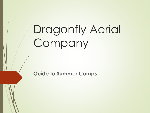# Dragonfly Aerial Company

**Guide to Summer Camps**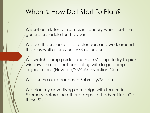## When & How Do I Start To Plan?

We set our dates for camps in January when I set the general schedule for the year.

We pull the school district calendars and work around them as well as previous VBS calenders.

We watch camp guides and moms' blogs to try to pick windows that are not conflicting with large camp organizations (New Life/YMCA/ Invention Camp)

We reserve our coaches in February/March

We plan my advertising campaign with teasers in February before the other camps start advertising- Get those \$'s first.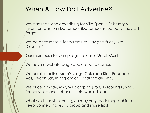#### When & How Do I Advertise?

We start receiving advertising for Villa Sport in February & Invention Camp in December (December is too early, they will forget)

We do a teaser sale for Valentines Day gifts "Early Bird Discount"

Our main push for camp registrations is March/April

We have a website page dedicated to camps.

We enroll in online Mom's blogs, Colorado Kids, Facebook Ads, Peach Jar, Instagram ads, radio trades etc…

We price a 4-day, M-R, 9-1 camp at \$250. Discounts run \$25 for early bird and I offer multiple week discounts.

What works best for your gym may very by demographic so keep connecting via FB group and share tips!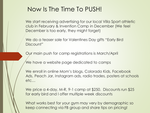## Now Is The Time To PUSH!

We start receiving advertising for our local Villa Sport athletic club in February & Invention Camp in December (We feel December is too early, they might forget)

We do a teaser sale for Valentines Day gifts "Early Bird" Discount"

Our main push for camp registrations is March/April

We have a website page dedicated to camps

We enroll in online Mom's blogs, Colorado Kids, Facebook Ads, Peach Jar, Instagram ads, radio trades, posters at schools etc…

We price a 4-day, M-R, 9-1 camp at \$250. Discounts run \$25 for early bird and I offer multiple week discounts

What works best for your gym may very by demographic so keep connecting via FB group and share tips on pricing!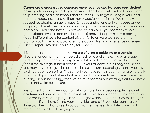*Camps are a great way to generate more revenue and increase your student*  **base** by introducing aerial to your current client base, (who will tell friends) and for promoting locally at schools and churches. Try to get a listing in your local parent's magazine, many of them have special camp issues! We strongly suggest purchasing an aerial rope, 2 hoops and/or one or two trapeze as well as rigging at least one hammock for camps. The more diversity you have in your camp apparatus the better. *However*, we can build your camp with solely fabric (rigged two tail and as a hammock) and/or hoop (which we can rig a hoop 3 different ways for content diversity). So as we always say, let the program build itself and purchase more apparatus as your revenue increases! One camper's revenue could pay for a hoop.

It is important to remember that **we are offering a guideline or a sample structure** for camps that must be adjusted to *your* clientele. If your average student age in 11 then you may have a bit of a different structure that week than if the average student base is 15. If your students are all beginner's then you may have to adjust the pace of the curriculum accordingly than if you have existing students enrolling. The same if you have some students that are naturally strong and quick and others that may need a bit more time. This is why we are offering an outline or suggested structure for camps but stressing that this is not a black and white curriculum.

We suggest running aerial camps with **no more than 6 people up in the air at one time** and always provide an assistant or two, for your coach, to account for the diversity of student progression and ages within the camp. Group like ages together. If you have 3 nine-year old kiddos and a 15-year old teen register for June 3rd, then call and see if you can transfer the teen to a later camp with more students in her demographic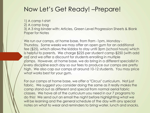#### Now Let's Get Ready! –Prepare!

1) A camp t-shirt

2) A camp bag

3) A 3 ring binder with: Articles, Green Level Progression Sheets & Blank Paper for Notes

We run our camps, at home base, from 9am -1pm, Monday - Thursday. Some weeks we may offer an open gym for an additional fee (\$25), which allows the kiddos to stay until 3pm (school hours) which is helpful to parents. We charge \$225 per student camp-\$250 (with add on) and we offer a discount for students enrolling in multiple camps. However, at home base, we do bring in a different specialist in every discipline each day so our fees to produce our camps are pretty high. We also cap our camps at around 10-12 students. You may price what works best for your gym.

For our camps at home base, we offer a "Circus" curriculum. Not just fabric. We suggest you consider doing the same as it really makes the camp stand out as different and special from normal aerial fabric classes. We have all of the curriculum you need in our 7 programs to do this! We send out an email the night before highlighting what we will be learning and the general schedule of the day with any special notes on what to wear and reminders to bring water, lunch and snacks.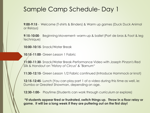# Sample Camp Schedule- Day 1

**9:00-9:15** - Welcome (T-shirts & Binders) & Warm up games (Duck Duck Animal or Relays)

**9:15-10:00**- Beginning Movement- warm-up & ballet (Port de bras & Foot & leg technique)

**10:00-10:15**- Snack/Water Break

**10:15-11:00**- Green Lesson 1 Fabric

**11:00-11:30**- Snack/Water Break-Performance Video with Joseph Pinzon's Red Silk & Handout on "*History of Circus" & "Barnum"*

**11:30-12:15**- Green Lesson 1/2 Fabric continued (Introduce Hammock or knot)

**12:15-12:45**- Lunch (You can play part 1 of a video during this time as well, ie: Dumbo or Greatest Showman, depending on age.

**12:30-1:00-** Playtime (Students can work through curriculum or explore)

**\*If students appear tired or frustrated, switch things up. Throw in a floor relay or game. It will be a long week if they are puttering out on the first day!**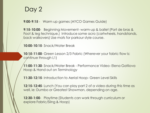## Day 2

**9:00-9:15** - Warm up games (AYCO Games Guide)

**9:15-10:00**- Beginning Movement- warm-up & ballet (Port de bras & Foot & leg technique.) Introduce some acro (cartwheels, handstands, back walkovers) Use mats for parkour style course.

**10:00-10:15**- Snack/Water Break

**10:15-11:00**- Green Lesson 2/3 Fabric (Wherever your fabric flow is: continue through L1)

**11:00-11:30**- Snack/Water Break - Performance Video- Elena Gatilova Hoop & Hand out on *Terminology*

**11:30-12:15**- Introduction to Aerial Hoop- Green Level Skills

**12:15-12:45**- Lunch (You can play part 2 of a video during this time as well, ie: Dumbo or Greatest Showman, depending on age.

**12:30-1:00**- Playtime (Students can work through curriculum or explore Fabric/Sling & Hoop)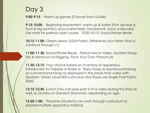## Day 3

**9:00-9:15** - Warm up games (Choose from Guide)

**9:15-10:00**- Beginning Movement- warm-up & ballet (Port de bras & Foot & leg technic) acro (cartwheels, handstands, back walkovers) Use mats for parkour style course. 10:00-10:15- Snack/Water Break

**10:15-11:00-** Green Lesson 2/3/4 Fabric (Wherever your fabric flow is: continue through L1)

**11:00-11:30**- Snack/Water Break - Performance Video- Quidam Hoop Trio & Hand out on *Rigging- Pack Your Own Parachute*

**11:30-12:15**- Your choice based on inventory of apparatus: Introduction to Trapeze or Rope or Tippy Hoop or explore partnering on conventional Hoop as displayed in the break time video with Quidam- Green Level Skill curriculum (For Rope use Single Pole Fabric Skills)

**12:15-12:45**- Lunch (You can play part 3 of a video during this time as well, ie: Dumbo or Greatest Showman, depending on age.

**12:30-1:00-** Playtime (Students can work through curriculum or explore multiple apparatus stations)